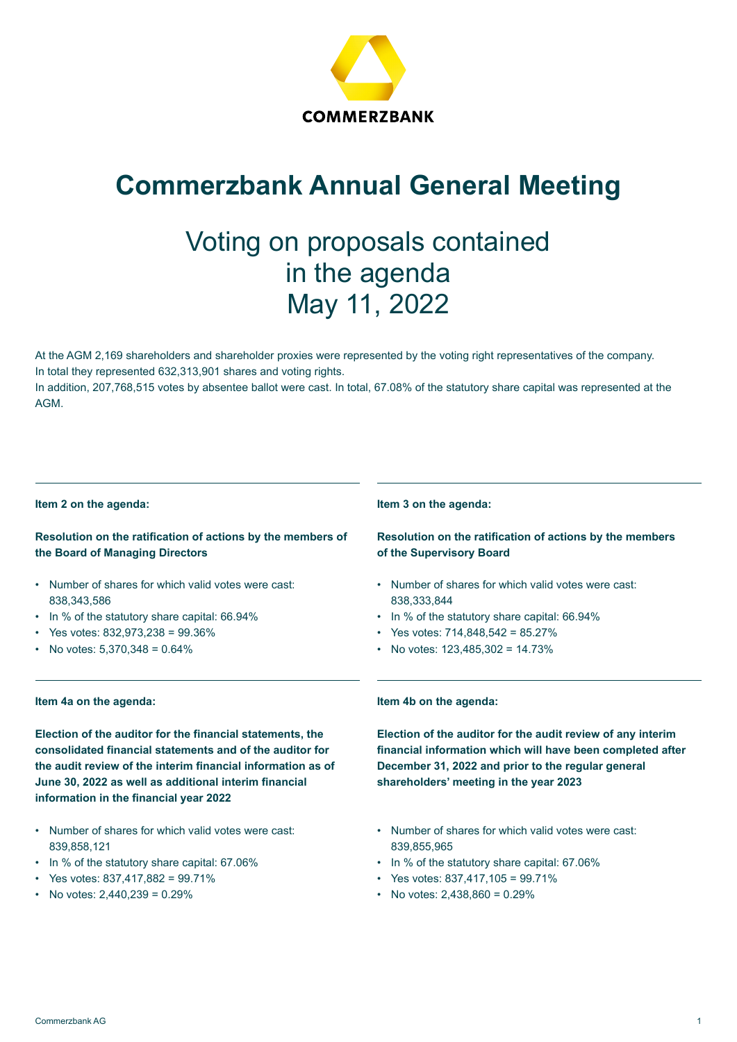

# **Commerzbank Annual General Meeting**

# Voting on proposals contained in the agenda May 11, 2022

At the AGM 2,169 shareholders and shareholder proxies were represented by the voting right representatives of the company. In total they represented 632,313,901 shares and voting rights.

In addition, 207,768,515 votes by absentee ballot were cast. In total, 67.08% of the statutory share capital was represented at the AGM.

#### **Item 2 on the agenda:**

# **Resolution on the ratification of actions by the members of the Board of Managing Directors**

- Number of shares for which valid votes were cast: 838,343,586
- In % of the statutory share capital: 66.94%
- Yes votes: 832,973,238 = 99.36%
- No votes: 5,370,348 = 0.64%

### **Item 4a on the agenda:**

**Election of the auditor for the financial statements, the consolidated financial statements and of the auditor for the audit review of the interim financial information as of June 30, 2022 as well as additional interim financial information in the financial year 2022** 

- Number of shares for which valid votes were cast: 839,858,121
- In % of the statutory share capital: 67.06%
- Yes votes: 837,417,882 = 99.71%
- No votes:  $2,440,239 = 0.29\%$

#### **Item 3 on the agenda:**

# **Resolution on the ratification of actions by the members of the Supervisory Board**

- Number of shares for which valid votes were cast: 838,333,844
- In % of the statutory share capital: 66.94%
- Yes votes:  $714,848,542 = 85.27\%$
- No votes: 123,485,302 = 14.73%

#### **Item 4b on the agenda:**

**Election of the auditor for the audit review of any interim financial information which will have been completed after December 31, 2022 and prior to the regular general shareholders' meeting in the year 2023** 

- Number of shares for which valid votes were cast: 839,855,965
- In % of the statutory share capital: 67.06%
- Yes votes: 837,417,105 = 99.71%
- No votes:  $2,438,860 = 0.29\%$